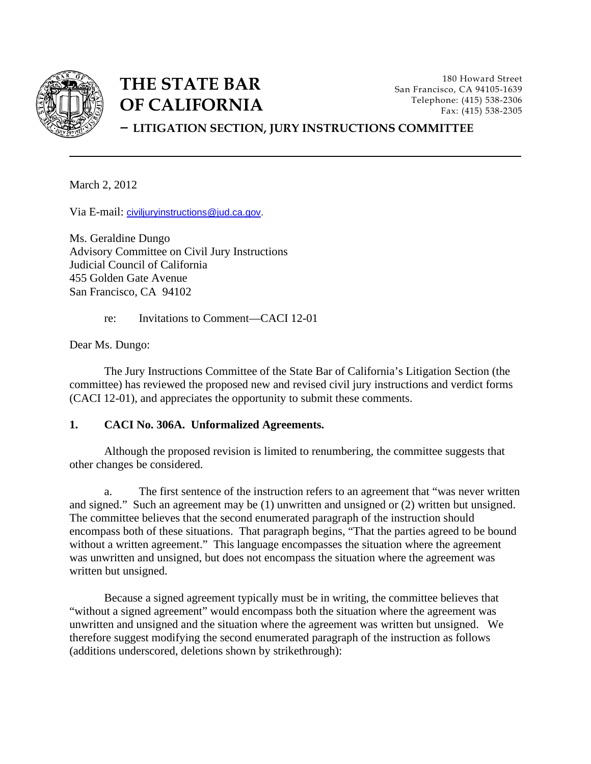

# **THE STATE BAR OF CALIFORNIA**

180 Howard Street San Francisco, CA 94105-1639 Telephone: (415) 538-2306 Fax: (415) 538-2305

## – **LITIGATION SECTION, JURY INSTRUCTIONS COMMITTEE**

March 2, 2012

Via E-mail: [civiljuryinstructions@jud.ca.gov.](mailto:civiljuryinstructions@jud.ca.gov)

Ms. Geraldine Dungo Advisory Committee on Civil Jury Instructions Judicial Council of California 455 Golden Gate Avenue San Francisco, CA 94102

re: Invitations to Comment—CACI 12-01

Dear Ms. Dungo:

The Jury Instructions Committee of the State Bar of California's Litigation Section (the committee) has reviewed the proposed new and revised civil jury instructions and verdict forms (CACI 12-01), and appreciates the opportunity to submit these comments.

#### **1. CACI No. 306A. Unformalized Agreements.**

 Although the proposed revision is limited to renumbering, the committee suggests that other changes be considered.

a. The first sentence of the instruction refers to an agreement that "was never written and signed." Such an agreement may be (1) unwritten and unsigned or (2) written but unsigned. The committee believes that the second enumerated paragraph of the instruction should encompass both of these situations. That paragraph begins, "That the parties agreed to be bound without a written agreement." This language encompasses the situation where the agreement was unwritten and unsigned, but does not encompass the situation where the agreement was written but unsigned.

Because a signed agreement typically must be in writing, the committee believes that "without a signed agreement" would encompass both the situation where the agreement was unwritten and unsigned and the situation where the agreement was written but unsigned. We therefore suggest modifying the second enumerated paragraph of the instruction as follows (additions underscored, deletions shown by strikethrough):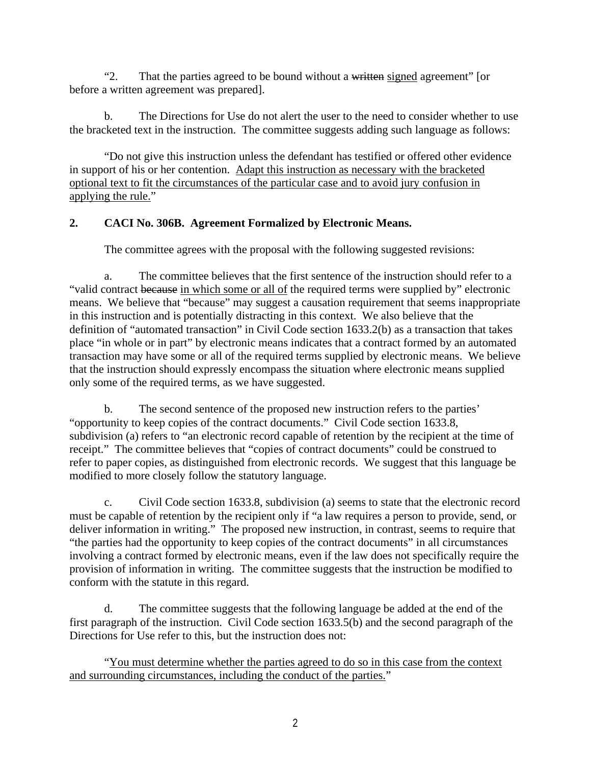"2. That the parties agreed to be bound without a written signed agreement" [or before a written agreement was prepared].

b. The Directions for Use do not alert the user to the need to consider whether to use the bracketed text in the instruction. The committee suggests adding such language as follows:

"Do not give this instruction unless the defendant has testified or offered other evidence in support of his or her contention. Adapt this instruction as necessary with the bracketed optional text to fit the circumstances of the particular case and to avoid jury confusion in applying the rule."

## **2. CACI No. 306B. Agreement Formalized by Electronic Means.**

The committee agrees with the proposal with the following suggested revisions:

a. The committee believes that the first sentence of the instruction should refer to a "valid contract because in which some or all of the required terms were supplied by" electronic means. We believe that "because" may suggest a causation requirement that seems inappropriate in this instruction and is potentially distracting in this context. We also believe that the definition of "automated transaction" in Civil Code section 1633.2(b) as a transaction that takes place "in whole or in part" by electronic means indicates that a contract formed by an automated transaction may have some or all of the required terms supplied by electronic means. We believe that the instruction should expressly encompass the situation where electronic means supplied only some of the required terms, as we have suggested.

b. The second sentence of the proposed new instruction refers to the parties' "opportunity to keep copies of the contract documents." Civil Code section 1633.8, subdivision (a) refers to "an electronic record capable of retention by the recipient at the time of receipt." The committee believes that "copies of contract documents" could be construed to refer to paper copies, as distinguished from electronic records. We suggest that this language be modified to more closely follow the statutory language.

c. Civil Code section 1633.8, subdivision (a) seems to state that the electronic record must be capable of retention by the recipient only if "a law requires a person to provide, send, or deliver information in writing." The proposed new instruction, in contrast, seems to require that "the parties had the opportunity to keep copies of the contract documents" in all circumstances involving a contract formed by electronic means, even if the law does not specifically require the provision of information in writing. The committee suggests that the instruction be modified to conform with the statute in this regard.

d. The committee suggests that the following language be added at the end of the first paragraph of the instruction. Civil Code section 1633.5(b) and the second paragraph of the Directions for Use refer to this, but the instruction does not:

"You must determine whether the parties agreed to do so in this case from the context and surrounding circumstances, including the conduct of the parties."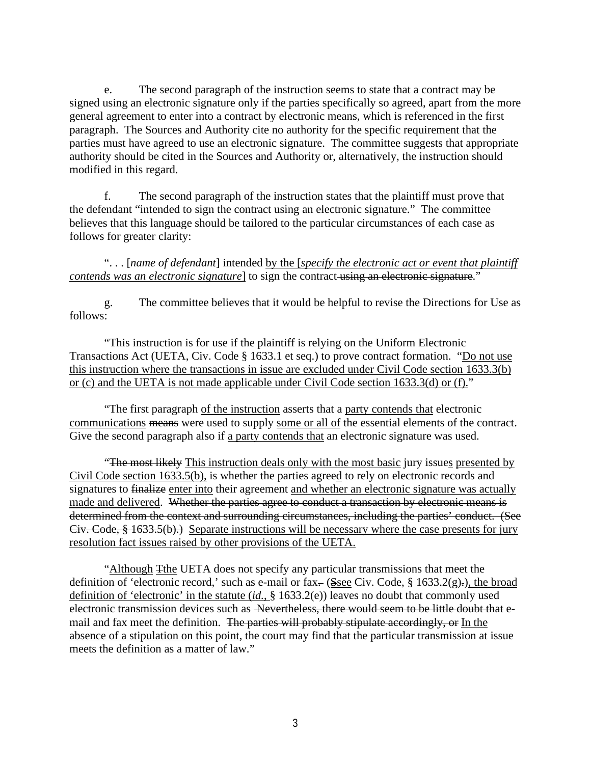e. The second paragraph of the instruction seems to state that a contract may be signed using an electronic signature only if the parties specifically so agreed, apart from the more general agreement to enter into a contract by electronic means, which is referenced in the first paragraph. The Sources and Authority cite no authority for the specific requirement that the parties must have agreed to use an electronic signature. The committee suggests that appropriate authority should be cited in the Sources and Authority or, alternatively, the instruction should modified in this regard.

f. The second paragraph of the instruction states that the plaintiff must prove that the defendant "intended to sign the contract using an electronic signature." The committee believes that this language should be tailored to the particular circumstances of each case as follows for greater clarity:

". . . [*name of defendant*] intended by the [*specify the electronic act or event that plaintiff contends was an electronic signature*] to sign the contract using an electronic signature."

g. The committee believes that it would be helpful to revise the Directions for Use as follows:

"This instruction is for use if the plaintiff is relying on the Uniform Electronic Transactions Act (UETA, Civ. Code § 1633.1 et seq.) to prove contract formation. "Do not use this instruction where the transactions in issue are excluded under Civil Code section 1633.3(b) or (c) and the UETA is not made applicable under Civil Code section 1633.3(d) or (f)."

"The first paragraph of the instruction asserts that a party contends that electronic communications means were used to supply some or all of the essential elements of the contract. Give the second paragraph also if a party contends that an electronic signature was used.

"The most likely This instruction deals only with the most basic jury issues presented by Civil Code section 1633.5(b), is whether the parties agreed to rely on electronic records and signatures to finalize enter into their agreement and whether an electronic signature was actually made and delivered. Whether the parties agree to conduct a transaction by electronic means is determined from the context and surrounding circumstances, including the parties' conduct. (See Civ. Code, § 1633.5(b).) Separate instructions will be necessary where the case presents for jury resolution fact issues raised by other provisions of the UETA.

"Although Tthe UETA does not specify any particular transmissions that meet the definition of 'electronic record,' such as e-mail or fax- $(Ssee Civ, Code, § 1633.2(g),)$ , the broad definition of 'electronic' in the statute (*id.*, § 1633.2(e)) leaves no doubt that commonly used electronic transmission devices such as Nevertheless, there would seem to be little doubt that email and fax meet the definition. The parties will probably stipulate accordingly, or In the absence of a stipulation on this point, the court may find that the particular transmission at issue meets the definition as a matter of law."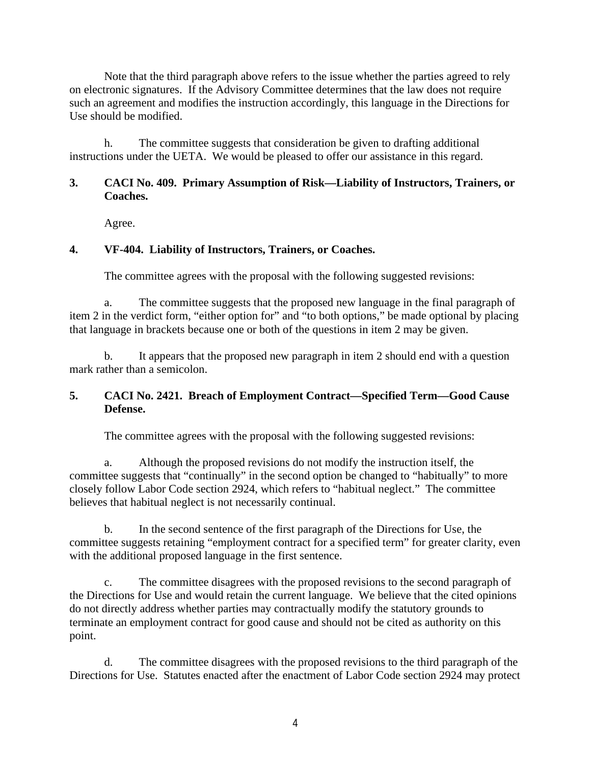Note that the third paragraph above refers to the issue whether the parties agreed to rely on electronic signatures. If the Advisory Committee determines that the law does not require such an agreement and modifies the instruction accordingly, this language in the Directions for Use should be modified.

h. The committee suggests that consideration be given to drafting additional instructions under the UETA. We would be pleased to offer our assistance in this regard.

#### **3. CACI No. 409. Primary Assumption of Risk—Liability of Instructors, Trainers, or Coaches.**

Agree.

## **4. VF-404. Liability of Instructors, Trainers, or Coaches.**

The committee agrees with the proposal with the following suggested revisions:

a. The committee suggests that the proposed new language in the final paragraph of item 2 in the verdict form, "either option for" and "to both options," be made optional by placing that language in brackets because one or both of the questions in item 2 may be given.

b. It appears that the proposed new paragraph in item 2 should end with a question mark rather than a semicolon.

## **5. CACI No. 2421. Breach of Employment Contract—Specified Term—Good Cause Defense.**

The committee agrees with the proposal with the following suggested revisions:

a. Although the proposed revisions do not modify the instruction itself, the committee suggests that "continually" in the second option be changed to "habitually" to more closely follow Labor Code section 2924, which refers to "habitual neglect." The committee believes that habitual neglect is not necessarily continual.

b. In the second sentence of the first paragraph of the Directions for Use, the committee suggests retaining "employment contract for a specified term" for greater clarity, even with the additional proposed language in the first sentence.

c. The committee disagrees with the proposed revisions to the second paragraph of the Directions for Use and would retain the current language. We believe that the cited opinions do not directly address whether parties may contractually modify the statutory grounds to terminate an employment contract for good cause and should not be cited as authority on this point.

d. The committee disagrees with the proposed revisions to the third paragraph of the Directions for Use. Statutes enacted after the enactment of Labor Code section 2924 may protect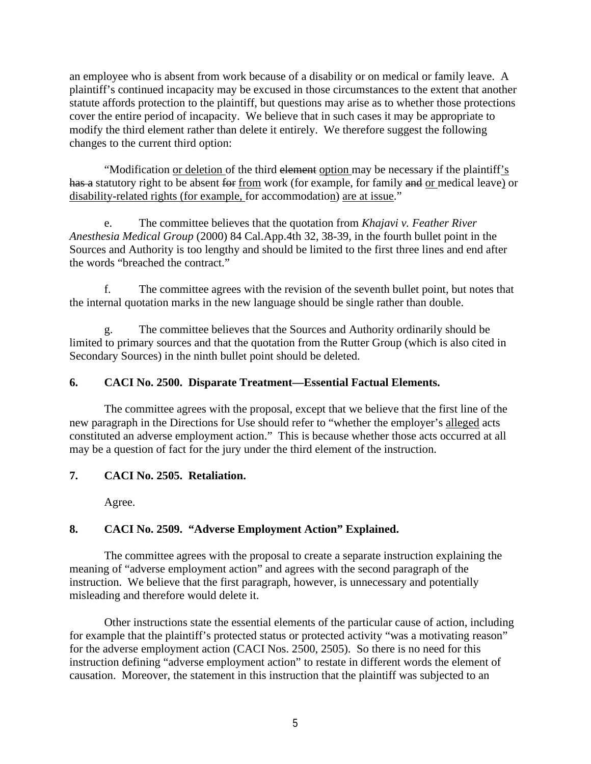an employee who is absent from work because of a disability or on medical or family leave. A plaintiff's continued incapacity may be excused in those circumstances to the extent that another statute affords protection to the plaintiff, but questions may arise as to whether those protections cover the entire period of incapacity. We believe that in such cases it may be appropriate to modify the third element rather than delete it entirely. We therefore suggest the following changes to the current third option:

"Modification or deletion of the third element option may be necessary if the plaintiff's has a statutory right to be absent for from work (for example, for family and or medical leave) or disability-related rights (for example, for accommodation) are at issue."

e. The committee believes that the quotation from *Khajavi v. Feather River Anesthesia Medical Group* (2000) 84 Cal.App.4th 32, 38-39, in the fourth bullet point in the Sources and Authority is too lengthy and should be limited to the first three lines and end after the words "breached the contract."

f. The committee agrees with the revision of the seventh bullet point, but notes that the internal quotation marks in the new language should be single rather than double.

g. The committee believes that the Sources and Authority ordinarily should be limited to primary sources and that the quotation from the Rutter Group (which is also cited in Secondary Sources) in the ninth bullet point should be deleted.

## **6. CACI No. 2500. Disparate Treatment—Essential Factual Elements.**

The committee agrees with the proposal, except that we believe that the first line of the new paragraph in the Directions for Use should refer to "whether the employer's alleged acts constituted an adverse employment action." This is because whether those acts occurred at all may be a question of fact for the jury under the third element of the instruction.

## **7. CACI No. 2505. Retaliation.**

Agree.

## **8. CACI No. 2509. "Adverse Employment Action" Explained.**

The committee agrees with the proposal to create a separate instruction explaining the meaning of "adverse employment action" and agrees with the second paragraph of the instruction. We believe that the first paragraph, however, is unnecessary and potentially misleading and therefore would delete it.

Other instructions state the essential elements of the particular cause of action, including for example that the plaintiff's protected status or protected activity "was a motivating reason" for the adverse employment action (CACI Nos. 2500, 2505). So there is no need for this instruction defining "adverse employment action" to restate in different words the element of causation. Moreover, the statement in this instruction that the plaintiff was subjected to an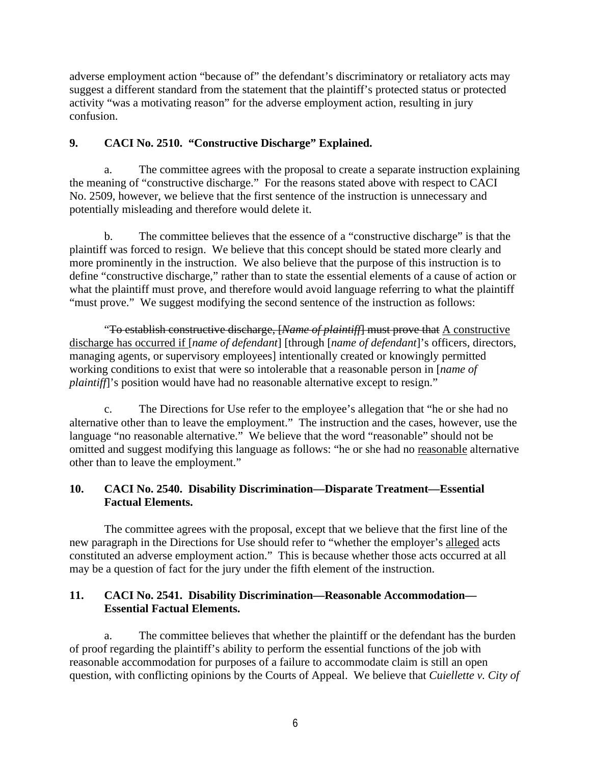adverse employment action "because of" the defendant's discriminatory or retaliatory acts may suggest a different standard from the statement that the plaintiff's protected status or protected activity "was a motivating reason" for the adverse employment action, resulting in jury confusion.

## **9. CACI No. 2510. "Constructive Discharge" Explained.**

a. The committee agrees with the proposal to create a separate instruction explaining the meaning of "constructive discharge." For the reasons stated above with respect to CACI No. 2509, however, we believe that the first sentence of the instruction is unnecessary and potentially misleading and therefore would delete it.

 b. The committee believes that the essence of a "constructive discharge" is that the plaintiff was forced to resign. We believe that this concept should be stated more clearly and more prominently in the instruction. We also believe that the purpose of this instruction is to define "constructive discharge," rather than to state the essential elements of a cause of action or what the plaintiff must prove, and therefore would avoid language referring to what the plaintiff "must prove." We suggest modifying the second sentence of the instruction as follows:

"To establish constructive discharge, [*Name of plaintiff*] must prove that A constructive discharge has occurred if [*name of defendant*] [through [*name of defendant*]'s officers, directors, managing agents, or supervisory employees] intentionally created or knowingly permitted working conditions to exist that were so intolerable that a reasonable person in [*name of plaintiff*]'s position would have had no reasonable alternative except to resign."

 c. The Directions for Use refer to the employee's allegation that "he or she had no alternative other than to leave the employment." The instruction and the cases, however, use the language "no reasonable alternative." We believe that the word "reasonable" should not be omitted and suggest modifying this language as follows: "he or she had no reasonable alternative other than to leave the employment."

## **10. CACI No. 2540. Disability Discrimination—Disparate Treatment—Essential Factual Elements.**

The committee agrees with the proposal, except that we believe that the first line of the new paragraph in the Directions for Use should refer to "whether the employer's alleged acts constituted an adverse employment action." This is because whether those acts occurred at all may be a question of fact for the jury under the fifth element of the instruction.

## **11. CACI No. 2541. Disability Discrimination—Reasonable Accommodation— Essential Factual Elements.**

a. The committee believes that whether the plaintiff or the defendant has the burden of proof regarding the plaintiff's ability to perform the essential functions of the job with reasonable accommodation for purposes of a failure to accommodate claim is still an open question, with conflicting opinions by the Courts of Appeal. We believe that *Cuiellette v. City of*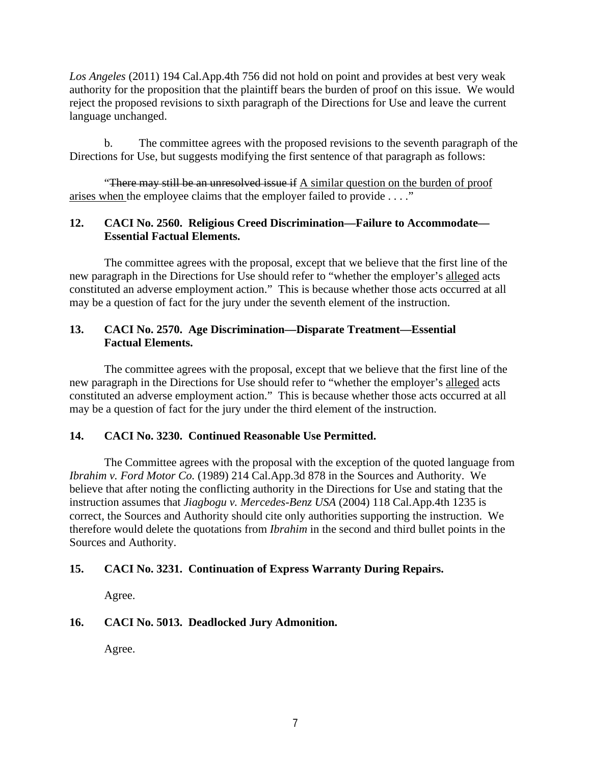*Los Angeles* (2011) 194 Cal.App.4th 756 did not hold on point and provides at best very weak authority for the proposition that the plaintiff bears the burden of proof on this issue. We would reject the proposed revisions to sixth paragraph of the Directions for Use and leave the current language unchanged.

 b. The committee agrees with the proposed revisions to the seventh paragraph of the Directions for Use, but suggests modifying the first sentence of that paragraph as follows:

"There may still be an unresolved issue if A similar question on the burden of proof arises when the employee claims that the employer failed to provide . . . ."

## **12. CACI No. 2560. Religious Creed Discrimination—Failure to Accommodate— Essential Factual Elements.**

The committee agrees with the proposal, except that we believe that the first line of the new paragraph in the Directions for Use should refer to "whether the employer's alleged acts constituted an adverse employment action." This is because whether those acts occurred at all may be a question of fact for the jury under the seventh element of the instruction.

## **13. CACI No. 2570. Age Discrimination—Disparate Treatment—Essential Factual Elements.**

The committee agrees with the proposal, except that we believe that the first line of the new paragraph in the Directions for Use should refer to "whether the employer's alleged acts constituted an adverse employment action." This is because whether those acts occurred at all may be a question of fact for the jury under the third element of the instruction.

## **14. CACI No. 3230. Continued Reasonable Use Permitted.**

The Committee agrees with the proposal with the exception of the quoted language from *Ibrahim v. Ford Motor Co.* (1989) 214 Cal.App.3d 878 in the Sources and Authority. We believe that after noting the conflicting authority in the Directions for Use and stating that the instruction assumes that *Jiagbogu v. Mercedes-Benz USA* (2004) 118 Cal.App.4th 1235 is correct, the Sources and Authority should cite only authorities supporting the instruction. We therefore would delete the quotations from *Ibrahim* in the second and third bullet points in the Sources and Authority.

## **15. CACI No. 3231. Continuation of Express Warranty During Repairs.**

Agree.

## **16. CACI No. 5013. Deadlocked Jury Admonition.**

Agree.